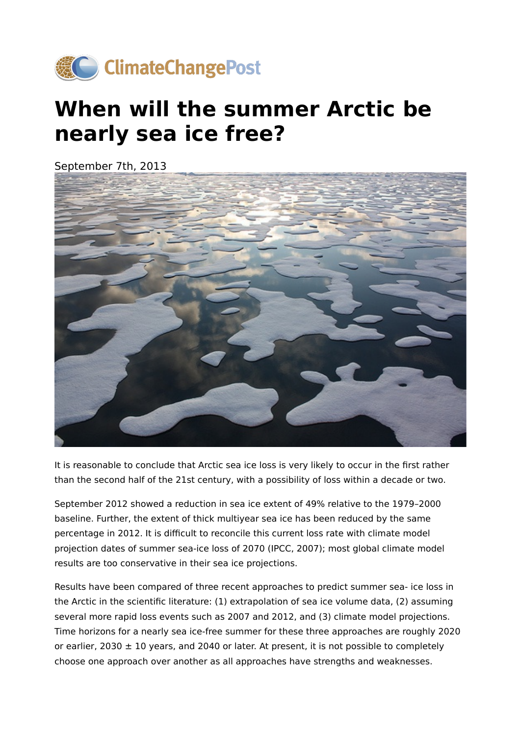

## **When will the summer Arctic be nearly sea ice free?**

September 7th, 2013



It is reasonable to conclude that Arctic sea ice loss is very likely to occur in the first rather than the second half of the 21st century, with a possibility of loss within a decade or two.

September 2012 showed a reduction in sea ice extent of 49% relative to the 1979–2000 baseline. Further, the extent of thick multiyear sea ice has been reduced by the same percentage in 2012. It is difficult to reconcile this current loss rate with climate model projection dates of summer sea-ice loss of 2070 (IPCC, 2007); most global climate model results are too conservative in their sea ice projections.

Results have been compared of three recent approaches to predict summer sea- ice loss in the Arctic in the scientific literature: (1) extrapolation of sea ice volume data, (2) assuming several more rapid loss events such as 2007 and 2012, and (3) climate model projections. Time horizons for a nearly sea ice-free summer for these three approaches are roughly 2020 or earlier, 2030  $\pm$  10 years, and 2040 or later. At present, it is not possible to completely choose one approach over another as all approaches have strengths and weaknesses.